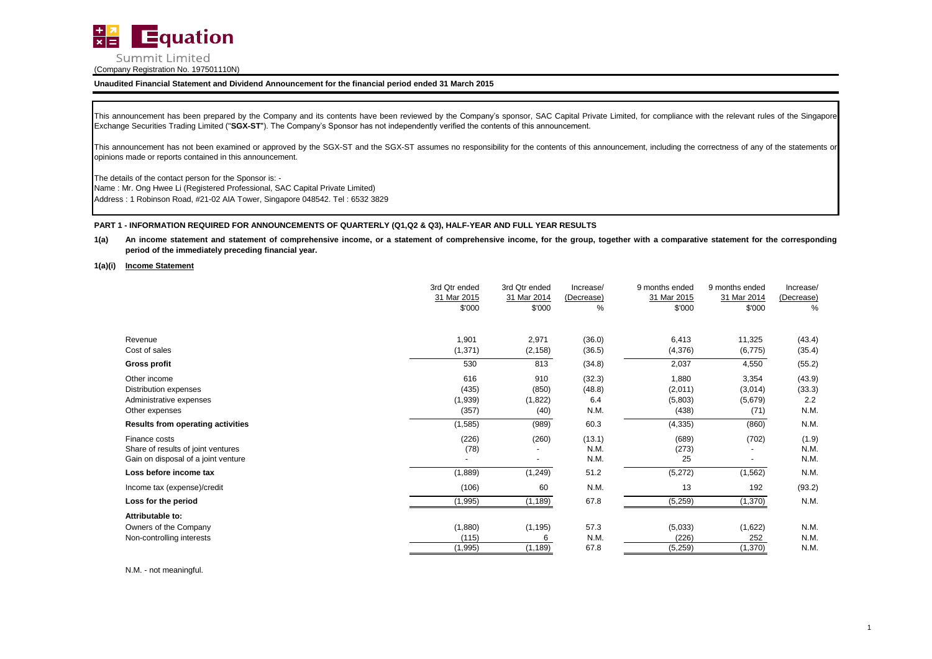

This announcement has been prepared by the Company and its contents have been reviewed by the Company's sponsor, SAC Capital Private Limited, for compliance with the relevant rules of the Singapore Exchange Securities Trading Limited ("**SGX-ST**"). The Company's Sponsor has not independently verified the contents of this announcement.

This announcement has not been examined or approved by the SGX-ST and the SGX-ST assumes no responsibility for the contents of this announcement, including the correctness of any of the statements or opinions made or reports contained in this announcement.

The details of the contact person for the Sponsor is: - Address : 1 Robinson Road, #21-02 AIA Tower, Singapore 048542. Tel : 6532 3829 Name : Mr. Ong Hwee Li (Registered Professional, SAC Capital Private Limited)

# **PART 1 - INFORMATION REQUIRED FOR ANNOUNCEMENTS OF QUARTERLY (Q1,Q2 & Q3), HALF-YEAR AND FULL YEAR RESULTS**

- **1(a)** An income statement and statement of comprehensive income, or a statement of comprehensive income, for the group, together with a comparative statement for the corresponding **period of the immediately preceding financial year.**
- **1(a)(i) Income Statement**

|                                          | 3rd Qtr ended | 3rd Qtr ended | Increase/  | 9 months ended | 9 months ended | Increase/  |
|------------------------------------------|---------------|---------------|------------|----------------|----------------|------------|
|                                          | 31 Mar 2015   | 31 Mar 2014   | (Decrease) | 31 Mar 2015    | 31 Mar 2014    | (Decrease) |
|                                          | \$'000        | \$'000        | ℅          | \$'000         | \$'000         | %          |
|                                          |               |               |            |                |                |            |
| Revenue                                  | 1,901         | 2,971         | (36.0)     | 6,413          | 11,325         | (43.4)     |
| Cost of sales                            | (1, 371)      | (2, 158)      | (36.5)     | (4,376)        | (6, 775)       | (35.4)     |
| Gross profit                             | 530           | 813           | (34.8)     | 2,037          | 4,550          | (55.2)     |
| Other income                             | 616           | 910           | (32.3)     | 1,880          | 3,354          | (43.9)     |
| Distribution expenses                    | (435)         | (850)         | (48.8)     | (2,011)        | (3,014)        | (33.3)     |
| Administrative expenses                  | (1,939)       | (1,822)       | 6.4        | (5,803)        | (5,679)        | 2.2        |
| Other expenses                           | (357)         | (40)          | N.M.       | (438)          | (71)           | N.M.       |
| <b>Results from operating activities</b> | (1, 585)      | (989)         | 60.3       | (4, 335)       | (860)          | N.M.       |
| Finance costs                            | (226)         | (260)         | (13.1)     | (689)          | (702)          | (1.9)      |
| Share of results of joint ventures       | (78)          |               | N.M.       | (273)          |                | N.M.       |
| Gain on disposal of a joint venture      |               | ٠             | N.M.       | 25             |                | N.M.       |
| Loss before income tax                   | (1,889)       | (1, 249)      | 51.2       | (5,272)        | (1, 562)       | N.M.       |
| Income tax (expense)/credit              | (106)         | 60            | N.M.       | 13             | 192            | (93.2)     |
| Loss for the period                      | (1,995)       | (1, 189)      | 67.8       | (5,259)        | (1, 370)       | N.M.       |
| Attributable to:                         |               |               |            |                |                |            |
| Owners of the Company                    | (1,880)       | (1, 195)      | 57.3       | (5,033)        | (1,622)        | N.M.       |
| Non-controlling interests                | (115)         | 6             | N.M.       | (226)          | 252            | N.M.       |
|                                          | (1,995)       | (1, 189)      | 67.8       | (5,259)        | (1,370)        | N.M.       |

N.M. - not meaningful.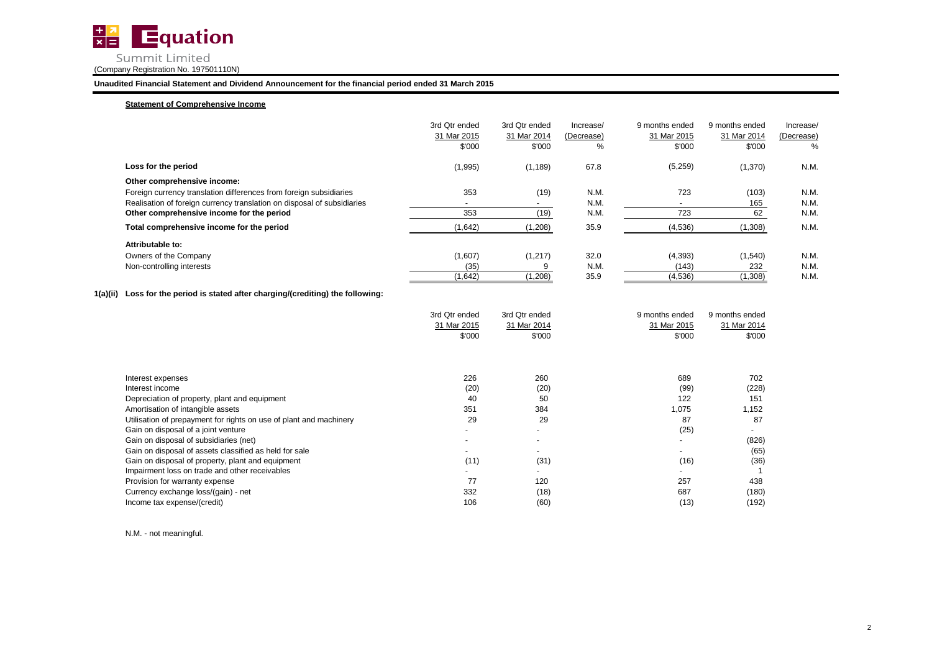

# **Statement of Comprehensive Income**

|                                                                         | 3rd Otr ended<br>31 Mar 2015<br>\$'000 | 3rd Otr ended<br>31 Mar 2014<br>\$'000 | Increase/<br>(Decrease)<br>℅ | 9 months ended<br>31 Mar 2015<br>\$'000 | 9 months ended<br>31 Mar 2014<br>\$'000 | Increase/<br>(Decrease)<br>% |
|-------------------------------------------------------------------------|----------------------------------------|----------------------------------------|------------------------------|-----------------------------------------|-----------------------------------------|------------------------------|
| Loss for the period                                                     | (1,995)                                | (1, 189)                               | 67.8                         | (5,259)                                 | (1,370)                                 | N.M.                         |
| Other comprehensive income:                                             |                                        |                                        |                              |                                         |                                         |                              |
| Foreign currency translation differences from foreign subsidiaries      | 353                                    | (19)                                   | N.M.                         | 723                                     | (103)                                   | N.M.                         |
| Realisation of foreign currency translation on disposal of subsidiaries | $\overline{\phantom{a}}$               | $\overline{\phantom{a}}$               | N.M.                         |                                         | 165                                     | N.M.                         |
| Other comprehensive income for the period                               | 353                                    | (19)                                   | N.M.                         | 723                                     | 62                                      | N.M.                         |
| Total comprehensive income for the period                               | (1,642)                                | (1,208)                                | 35.9                         | (4,536)                                 | (1,308)                                 | N.M.                         |
| Attributable to:                                                        |                                        |                                        |                              |                                         |                                         |                              |
| Owners of the Company                                                   | (1,607)                                | (1, 217)                               | 32.0                         | (4,393)                                 | (1,540)                                 | N.M.                         |
| Non-controlling interests                                               | (35)                                   |                                        | N.M.                         | (143)                                   | 232                                     | N.M.                         |
|                                                                         | (1,642)                                | (1,208)                                | 35.9                         | (4,536)                                 | (1,308)                                 | N.M.                         |

# **1(a)(ii) Loss for the period is stated after charging/(crediting) the following:**

|                                                                    | 3rd Qtr ended | 3rd Qtr ended | 9 months ended | 9 months ended |
|--------------------------------------------------------------------|---------------|---------------|----------------|----------------|
|                                                                    | 31 Mar 2015   | 31 Mar 2014   | 31 Mar 2015    | 31 Mar 2014    |
|                                                                    | \$'000        | \$'000        | \$'000         | \$000          |
|                                                                    |               |               |                |                |
|                                                                    |               |               |                |                |
| Interest expenses                                                  | 226           | 260           | 689            | 702            |
| Interest income                                                    | (20)          | (20)          | (99)           | (228)          |
| Depreciation of property, plant and equipment                      | 40            | 50            | 122            | 151            |
| Amortisation of intangible assets                                  | 351           | 384           | 1,075          | 1,152          |
| Utilisation of prepayment for rights on use of plant and machinery | 29            | 29            | 87             | 87             |
| Gain on disposal of a joint venture                                |               |               | (25)           |                |
| Gain on disposal of subsidiaries (net)                             |               |               |                | (826)          |
| Gain on disposal of assets classified as held for sale             |               |               |                | (65)           |
| Gain on disposal of property, plant and equipment                  | (11)          | (31)          | (16)           | (36)           |
| Impairment loss on trade and other receivables                     |               |               |                |                |
| Provision for warranty expense                                     | 77            | 120           | 257            | 438            |
| Currency exchange loss/(gain) - net                                | 332           | (18)          | 687            | (180)          |
| Income tax expense/(credit)                                        | 106           | (60)          | (13)           | (192)          |

N.M. - not meaningful.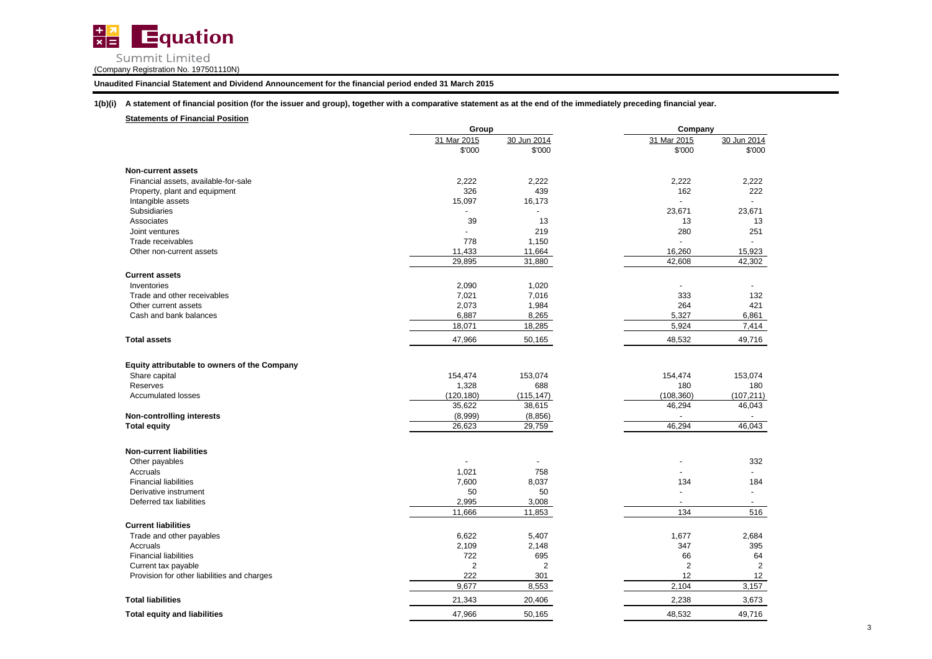

**Unaudited Financial Statement and Dividend Announcement for the financial period ended 31 March 2015**

**1(b)(i) A statement of financial position (for the issuer and group), together with a comparative statement as at the end of the immediately preceding financial year.**

**Statements of Financial Position**

|                                              | Group          |             | Company        |                          |
|----------------------------------------------|----------------|-------------|----------------|--------------------------|
|                                              | 31 Mar 2015    | 30 Jun 2014 | 31 Mar 2015    | 30 Jun 2014              |
|                                              | \$'000         | \$'000      | \$'000         | \$'000                   |
| <b>Non-current assets</b>                    |                |             |                |                          |
| Financial assets, available-for-sale         | 2,222          | 2,222       | 2,222          | 2,222                    |
| Property, plant and equipment                | 326            | 439         | 162            | 222                      |
| Intangible assets                            | 15,097         | 16,173      |                |                          |
| Subsidiaries                                 |                |             | 23,671         | 23,671                   |
| Associates                                   | 39             | 13          | 13             | 13                       |
| Joint ventures                               |                | 219         | 280            | 251                      |
| Trade receivables                            | 778            | 1,150       |                |                          |
| Other non-current assets                     | 11,433         | 11,664      | 16,260         | 15,923                   |
|                                              | 29,895         | 31,880      | 42,608         | 42,302                   |
| <b>Current assets</b>                        |                |             |                |                          |
| Inventories                                  | 2,090          | 1,020       | ÷              |                          |
| Trade and other receivables                  | 7,021          | 7,016       | 333            | 132                      |
| Other current assets                         | 2,073          | 1,984       | 264            | 421                      |
| Cash and bank balances                       | 6,887          | 8,265       | 5,327          | 6,861                    |
|                                              | 18,071         | 18,285      | 5,924          | 7,414                    |
| <b>Total assets</b>                          | 47,966         | 50,165      | 48,532         | 49,716                   |
| Equity attributable to owners of the Company |                |             |                |                          |
| Share capital                                | 154,474        | 153,074     | 154,474        | 153,074                  |
| Reserves                                     | 1,328          | 688         | 180            | 180                      |
| <b>Accumulated losses</b>                    | (120, 180)     | (115, 147)  | (108, 360)     | (107, 211)               |
|                                              | 35,622         | 38,615      | 46,294         | 46,043                   |
| <b>Non-controlling interests</b>             | (8,999)        | (8, 856)    |                |                          |
| <b>Total equity</b>                          | 26,623         | 29,759      | 46,294         | 46,043                   |
|                                              |                |             |                |                          |
| <b>Non-current liabilities</b>               |                |             |                |                          |
| Other payables                               |                |             |                | 332                      |
| Accruals                                     | 1,021          | 758         |                | $\overline{a}$           |
| <b>Financial liabilities</b>                 | 7,600          | 8,037       | 134            | 184                      |
| Derivative instrument                        | 50             | 50          |                | $\blacksquare$           |
| Deferred tax liabilities                     | 2,995          | 3,008       |                | $\overline{\phantom{a}}$ |
|                                              | 11,666         | 11,853      | 134            | 516                      |
| <b>Current liabilities</b>                   |                |             |                |                          |
| Trade and other payables                     | 6,622          | 5,407       | 1,677          | 2,684                    |
| Accruals                                     | 2,109          | 2,148       | 347            | 395                      |
| <b>Financial liabilities</b>                 | 722            | 695         | 66             | 64                       |
| Current tax payable                          | $\overline{2}$ | 2           | $\overline{2}$ | $\overline{2}$           |
| Provision for other liabilities and charges  | 222            | 301         | 12             | 12                       |
|                                              | 9,677          | 8,553       | 2,104          | 3,157                    |
| <b>Total liabilities</b>                     | 21,343         | 20,406      | 2,238          | 3,673                    |
| <b>Total equity and liabilities</b>          | 47,966         | 50,165      | 48,532         | 49,716                   |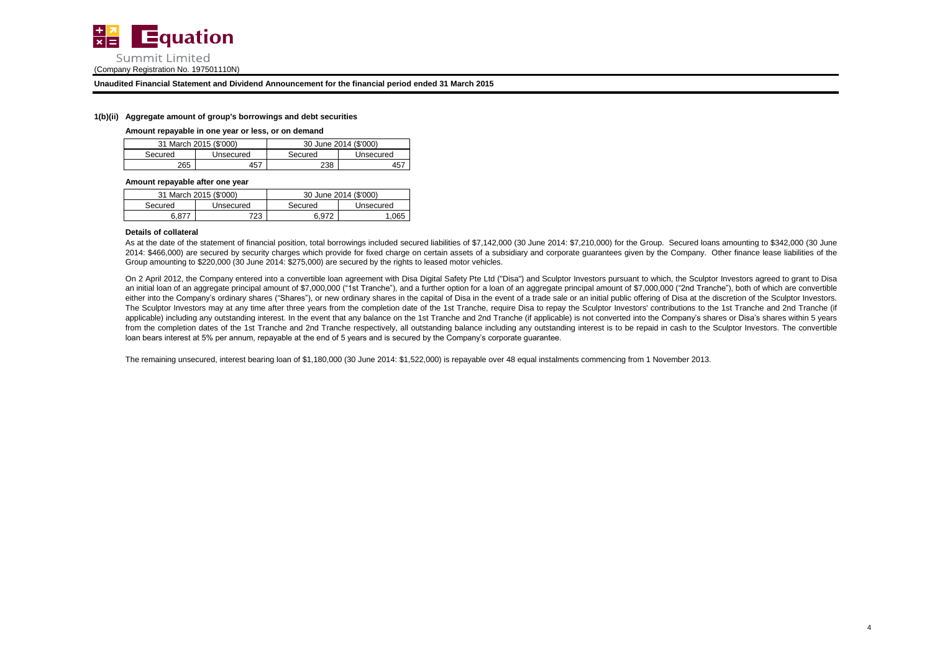

## **1(b)(ii) Aggregate amount of group's borrowings and debt securities**

### **Amount repayable in one year or less, or on demand**

|         | 31 March 2015 (\$'000) | 30 June 2014 (\$'000) |           |  |
|---------|------------------------|-----------------------|-----------|--|
| Secured | Unsecured              | Secured               | Unsecured |  |
| 265     | 457                    | 238                   |           |  |

### **Amount repayable after one year**

|         | 31 March 2015 (\$'000) | 30 June 2014 (\$'000) |           |  |
|---------|------------------------|-----------------------|-----------|--|
| Secured | Unsecured              | Secured               | Unsecured |  |
| ጓ ጸ77   | 723                    | 6.972                 | 065       |  |

## **Details of collateral**

As at the date of the statement of financial position, total borrowings included secured liabilities of \$7,142,000 (30 June 2014: \$7,210,000) for the Group. Secured loans amounting to \$342,000 (30 June 2014: \$466,000) are secured by security charges which provide for fixed charge on certain assets of a subsidiary and corporate guarantees given by the Company. Other finance lease liabilities of the Group amounting to \$220,000 (30 June 2014: \$275,000) are secured by the rights to leased motor vehicles.

On 2 April 2012, the Company entered into a convertible loan agreement with Disa Digital Safety Pte Ltd ("Disa") and Sculptor Investors pursuant to which, the Sculptor Investors agreed to grant to Disa an initial loan of an aggregate principal amount of \$7,000,000 ("1st Tranche"), and a further option for a loan of an aggregate principal amount of \$7,000,000 ("2nd Tranche"), both of which are convertible either into the Company's ordinary shares ("Shares"), or new ordinary shares in the capital of Disa in the event of a trade sale or an initial public offering of Disa at the discretion of the Sculptor Investors. The Sculptor Investors may at any time after three years from the completion date of the 1st Tranche, require Disa to repay the Sculptor Investors' contributions to the 1st Tranche and 2nd Tranche (if applicable) including any outstanding interest. In the event that any balance on the 1st Tranche and 2nd Tranche (if applicable) is not converted into the Company's shares or Disa's shares within 5 years from the completion dates of the 1st Tranche and 2nd Tranche respectively, all outstanding balance including any outstanding interest is to be repaid in cash to the Sculptor Investors. The convertible loan bears interest at 5% per annum, repayable at the end of 5 years and is secured by the Company's corporate guarantee.

The remaining unsecured, interest bearing loan of \$1,180,000 (30 June 2014: \$1,522,000) is repayable over 48 equal instalments commencing from 1 November 2013.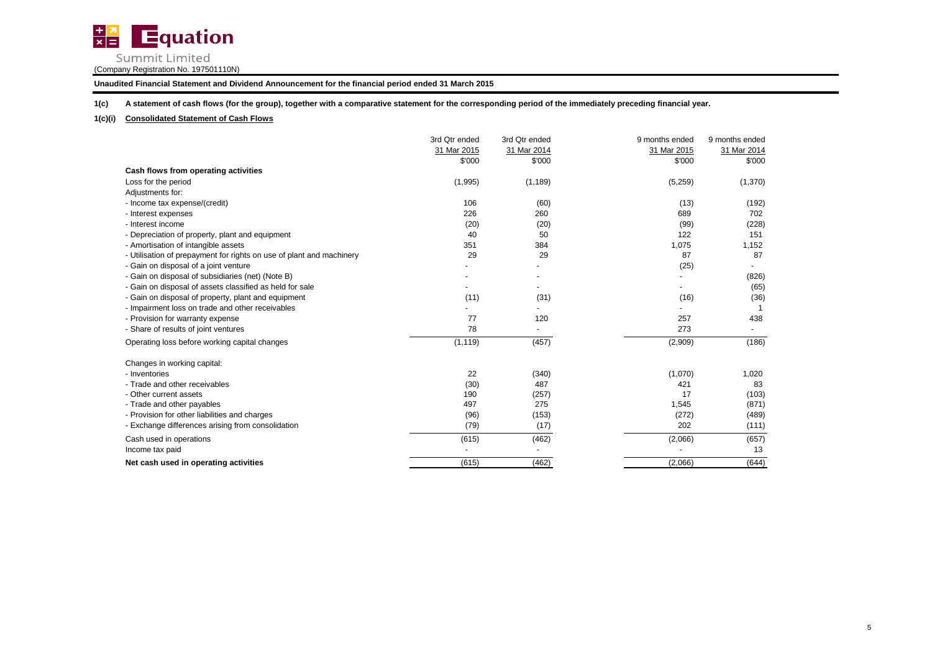

**Unaudited Financial Statement and Dividend Announcement for the financial period ended 31 March 2015**

**1(c) A statement of cash flows (for the group), together with a comparative statement for the corresponding period of the immediately preceding financial year.**

# **1(c)(i) Consolidated Statement of Cash Flows**

|                                                                      | 3rd Qtr ended<br>31 Mar 2015 | 3rd Qtr ended<br>31 Mar 2014 | 9 months ended<br>31 Mar 2015 | 9 months ended<br>31 Mar 2014 |
|----------------------------------------------------------------------|------------------------------|------------------------------|-------------------------------|-------------------------------|
|                                                                      | \$'000                       | \$'000                       | \$'000                        | \$'000                        |
| Cash flows from operating activities                                 |                              |                              |                               |                               |
| Loss for the period                                                  | (1,995)                      | (1, 189)                     | (5,259)                       | (1,370)                       |
| Adjustments for:                                                     |                              |                              |                               |                               |
| - Income tax expense/(credit)                                        | 106                          | (60)                         | (13)                          | (192)                         |
| - Interest expenses                                                  | 226                          | 260                          | 689                           | 702                           |
| - Interest income                                                    | (20)                         | (20)                         | (99)                          | (228)                         |
| - Depreciation of property, plant and equipment                      | 40                           | 50                           | 122                           | 151                           |
| - Amortisation of intangible assets                                  | 351                          | 384                          | 1,075                         | 1,152                         |
| - Utilisation of prepayment for rights on use of plant and machinery | 29                           | 29                           | 87                            | 87                            |
| - Gain on disposal of a joint venture                                |                              |                              | (25)                          |                               |
| - Gain on disposal of subsidiaries (net) (Note B)                    |                              |                              |                               | (826)                         |
| - Gain on disposal of assets classified as held for sale             |                              |                              | -                             | (65)                          |
| - Gain on disposal of property, plant and equipment                  | (11)                         | (31)                         | (16)                          | (36)                          |
| - Impairment loss on trade and other receivables                     |                              |                              |                               |                               |
| - Provision for warranty expense                                     | 77                           | 120                          | 257                           | 438                           |
| - Share of results of joint ventures                                 | 78                           |                              | 273                           |                               |
| Operating loss before working capital changes                        | (1, 119)                     | (457)                        | (2,909)                       | (186)                         |
| Changes in working capital:                                          |                              |                              |                               |                               |
| - Inventories                                                        | 22                           | (340)                        | (1,070)                       | 1,020                         |
| - Trade and other receivables                                        | (30)                         | 487                          | 421                           | 83                            |
| - Other current assets                                               | 190                          | (257)                        | 17                            | (103)                         |
| - Trade and other payables                                           | 497                          | 275                          | 1,545                         | (871)                         |
| - Provision for other liabilities and charges                        | (96)                         | (153)                        | (272)                         | (489)                         |
| - Exchange differences arising from consolidation                    | (79)                         | (17)                         | 202                           | (111)                         |
| Cash used in operations                                              | (615)                        | (462)                        | (2,066)                       | (657)                         |
| Income tax paid                                                      |                              |                              |                               | 13                            |
| Net cash used in operating activities                                | (615)                        | (462)                        | (2,066)                       | (644)                         |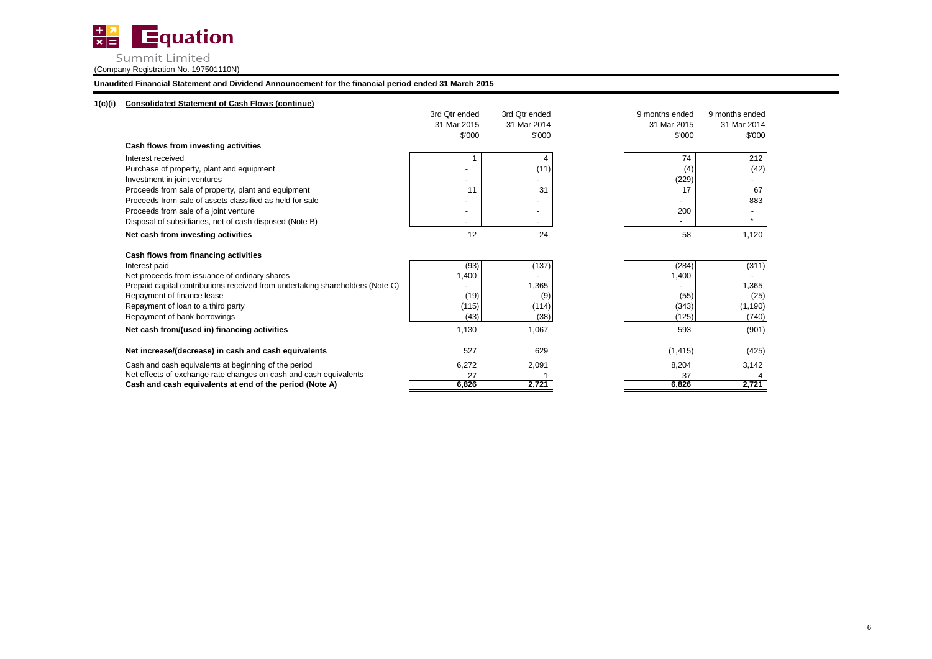

**Unaudited Financial Statement and Dividend Announcement for the financial period ended 31 March 2015**

# **1(c)(i) Consolidated Statement of Cash Flows (continue)**

|                                                                               | 3rd Qtr ended            | 3rd Qtr ended | 9 months ended | 9 months ended           |
|-------------------------------------------------------------------------------|--------------------------|---------------|----------------|--------------------------|
|                                                                               | 31 Mar 2015              | 31 Mar 2014   | 31 Mar 2015    | 31 Mar 2014              |
|                                                                               | \$'000                   | \$'000        | \$'000         | \$'000                   |
| Cash flows from investing activities                                          |                          |               |                |                          |
| Interest received                                                             |                          | 4             | 74             | 212                      |
| Purchase of property, plant and equipment                                     |                          | (11)          | (4)            | (42)                     |
| Investment in joint ventures                                                  |                          |               | (229)          | $\overline{\phantom{a}}$ |
| Proceeds from sale of property, plant and equipment                           | 11                       | 31            | 17             | 67                       |
| Proceeds from sale of assets classified as held for sale                      |                          |               |                | 883                      |
| Proceeds from sale of a joint venture                                         | $\overline{\phantom{a}}$ |               | 200            |                          |
| Disposal of subsidiaries, net of cash disposed (Note B)                       |                          |               |                | $\star$                  |
| Net cash from investing activities                                            | 12                       | 24            | 58             | 1,120                    |
| Cash flows from financing activities                                          |                          |               |                |                          |
| Interest paid                                                                 | (93)                     | (137)         | (284)          | (311)                    |
| Net proceeds from issuance of ordinary shares                                 | 1,400                    |               | 1,400          |                          |
| Prepaid capital contributions received from undertaking shareholders (Note C) |                          | 1,365         |                | 1,365                    |
| Repayment of finance lease                                                    | (19)                     | (9)           | (55)           | (25)                     |
| Repayment of loan to a third party                                            | (115)                    | (114)         | (343)          | (1, 190)                 |
| Repayment of bank borrowings                                                  | (43)                     | (38)          | (125)          | (740)                    |
| Net cash from/(used in) financing activities                                  | 1,130                    | 1,067         | 593            | (901)                    |
| Net increase/(decrease) in cash and cash equivalents                          | 527                      | 629           | (1, 415)       | (425)                    |
| Cash and cash equivalents at beginning of the period                          | 6,272                    | 2,091         | 8,204          | 3,142                    |
| Net effects of exchange rate changes on cash and cash equivalents             | 27                       |               | 37             |                          |
| Cash and cash equivalents at end of the period (Note A)                       | 6,826                    | 2,721         | 6,826          | 2,721                    |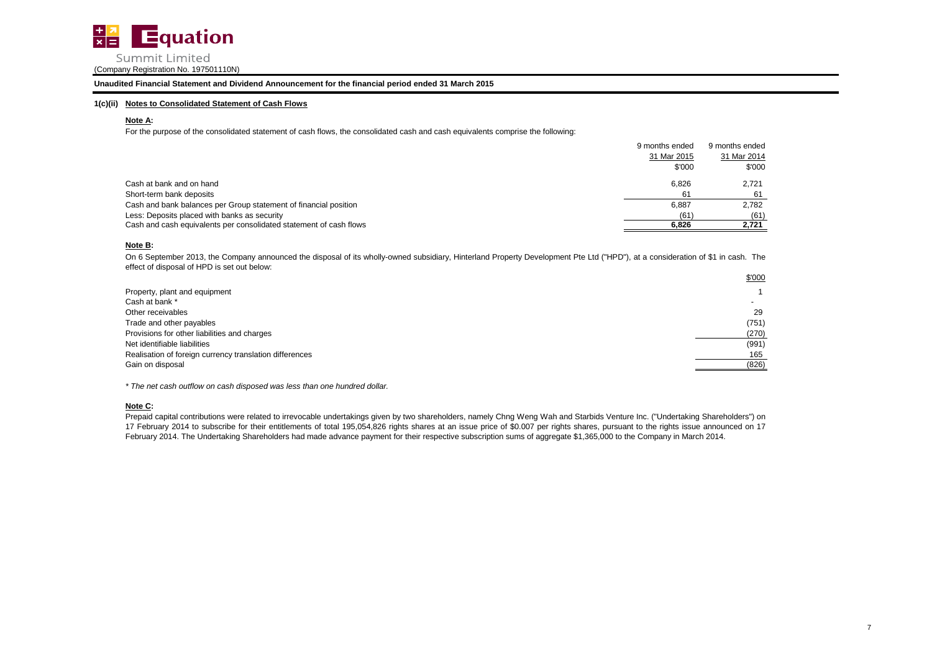

**Unaudited Financial Statement and Dividend Announcement for the financial period ended 31 March 2015**

# **1(c)(ii) Notes to Consolidated Statement of Cash Flows**

# **Note A:**

For the purpose of the consolidated statement of cash flows, the consolidated cash and cash equivalents comprise the following:

|                                                                    | 9 months ended | 9 months ended |
|--------------------------------------------------------------------|----------------|----------------|
|                                                                    | 31 Mar 2015    | 31 Mar 2014    |
|                                                                    | \$'000         | \$'000         |
| Cash at bank and on hand                                           | 6.826          | 2.721          |
| Short-term bank deposits                                           | 61             | 61             |
| Cash and bank balances per Group statement of financial position   | 6,887          | 2.782          |
| Less: Deposits placed with banks as security                       | (61)           | (61)           |
| Cash and cash equivalents per consolidated statement of cash flows | 6.826          | 2.721          |

# **Note B:**

On 6 September 2013, the Company announced the disposal of its wholly-owned subsidiary, Hinterland Property Development Pte Ltd ("HPD"), at a consideration of \$1 in cash. The effect of disposal of HPD is set out below:

|                                                         | \$'000 |
|---------------------------------------------------------|--------|
| Property, plant and equipment                           |        |
| Cash at bank *                                          |        |
| Other receivables                                       | 29     |
| Trade and other payables                                | (751)  |
| Provisions for other liabilities and charges            | (270)  |
| Net identifiable liabilities                            | (991)  |
| Realisation of foreign currency translation differences | 165    |
| Gain on disposal                                        | (826)  |
|                                                         |        |

*\* The net cash outflow on cash disposed was less than one hundred dollar.*

# **Note C:**

Prepaid capital contributions were related to irrevocable undertakings given by two shareholders, namely Chng Weng Wah and Starbids Venture Inc. ("Undertaking Shareholders") on 17 February 2014 to subscribe for their entitlements of total 195,054,826 rights shares at an issue price of \$0.007 per rights shares, pursuant to the rights issue announced on 17 February 2014. The Undertaking Shareholders had made advance payment for their respective subscription sums of aggregate \$1,365,000 to the Company in March 2014.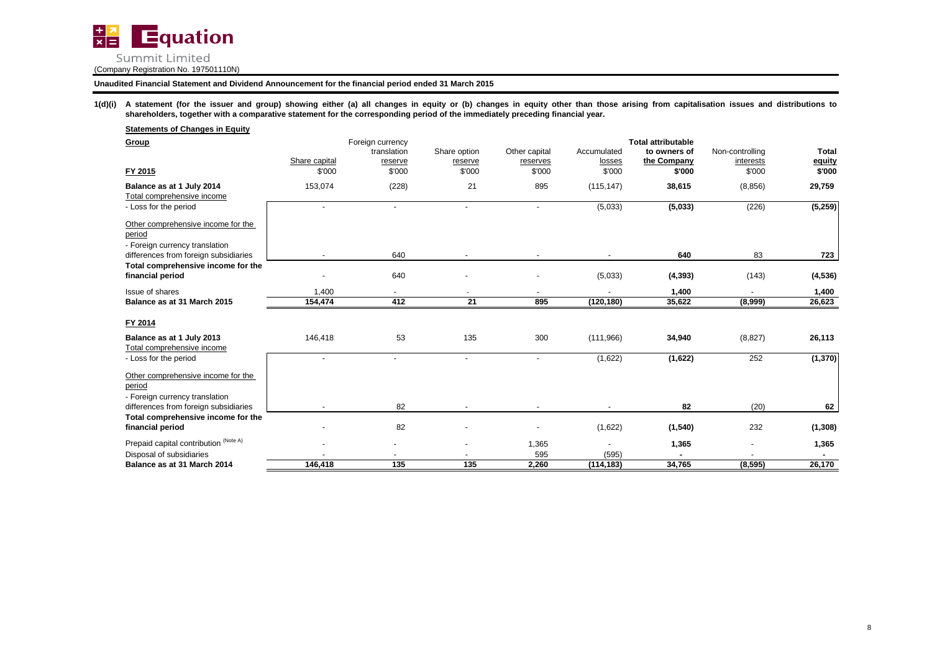

1(d)(i) A statement (for the issuer and group) showing either (a) all changes in equity or (b) changes in equity other than those arising from capitalisation issues and distributions to **shareholders, together with a comparative statement for the corresponding period of the immediately preceding financial year.**

| <b>Statements of Changes in Equity</b>                                         |                          |                                                      |                                   |                                     |                                 |                                                                    |                                        |                                  |
|--------------------------------------------------------------------------------|--------------------------|------------------------------------------------------|-----------------------------------|-------------------------------------|---------------------------------|--------------------------------------------------------------------|----------------------------------------|----------------------------------|
| Group<br>FY 2015                                                               | Share capital<br>\$'000  | Foreign currency<br>translation<br>reserve<br>\$'000 | Share option<br>reserve<br>\$'000 | Other capital<br>reserves<br>\$'000 | Accumulated<br>losses<br>\$'000 | <b>Total attributable</b><br>to owners of<br>the Company<br>\$'000 | Non-controlling<br>interests<br>\$'000 | <b>Total</b><br>equity<br>\$'000 |
| Balance as at 1 July 2014                                                      | 153,074                  | (228)                                                | 21                                | 895                                 | (115, 147)                      | 38,615                                                             | (8, 856)                               | 29,759                           |
| Total comprehensive income                                                     |                          |                                                      |                                   |                                     |                                 |                                                                    |                                        |                                  |
| - Loss for the period                                                          |                          | $\overline{\phantom{a}}$                             | $\overline{\phantom{a}}$          |                                     | (5,033)                         | (5,033)                                                            | (226)                                  | (5, 259)                         |
| Other comprehensive income for the<br>period<br>- Foreign currency translation |                          |                                                      |                                   |                                     |                                 |                                                                    |                                        |                                  |
| differences from foreign subsidiaries                                          |                          | 640                                                  |                                   |                                     |                                 | 640                                                                | 83                                     | 723                              |
| Total comprehensive income for the<br>financial period                         |                          | 640                                                  |                                   |                                     | (5,033)                         | (4, 393)                                                           | (143)                                  | (4, 536)                         |
| Issue of shares                                                                | 1,400                    |                                                      | $\overline{\phantom{a}}$          |                                     |                                 | 1,400                                                              |                                        | 1,400                            |
| Balance as at 31 March 2015                                                    | 154,474                  | 412                                                  | 21                                | 895                                 | (120, 180)                      | 35,622                                                             | (8,999)                                | 26,623                           |
| FY 2014<br>Balance as at 1 July 2013                                           | 146,418                  | 53                                                   | 135                               | 300                                 | (111,966)                       | 34,940                                                             | (8, 827)                               | 26,113                           |
| Total comprehensive income                                                     |                          |                                                      |                                   |                                     |                                 |                                                                    |                                        |                                  |
| - Loss for the period                                                          | $\overline{\phantom{a}}$ | $\blacksquare$                                       | $\overline{\phantom{a}}$          | $\sim$                              | (1,622)                         | (1,622)                                                            | 252                                    | (1, 370)                         |
| Other comprehensive income for the<br>period<br>- Foreign currency translation |                          |                                                      |                                   |                                     |                                 |                                                                    |                                        |                                  |
| differences from foreign subsidiaries                                          |                          | 82                                                   |                                   |                                     |                                 | 82                                                                 | (20)                                   | 62                               |
| Total comprehensive income for the<br>financial period                         |                          | 82                                                   |                                   |                                     | (1,622)                         | (1, 540)                                                           | 232                                    | (1, 308)                         |
| Prepaid capital contribution (Note A)                                          |                          |                                                      |                                   | 1,365                               |                                 | 1,365                                                              |                                        | 1,365                            |
| Disposal of subsidiaries                                                       |                          |                                                      |                                   | 595                                 | (595)                           |                                                                    |                                        |                                  |
| Balance as at 31 March 2014                                                    | 146,418                  | 135                                                  | 135                               | 2,260                               | (114, 183)                      | 34,765                                                             | (8, 595)                               | 26,170                           |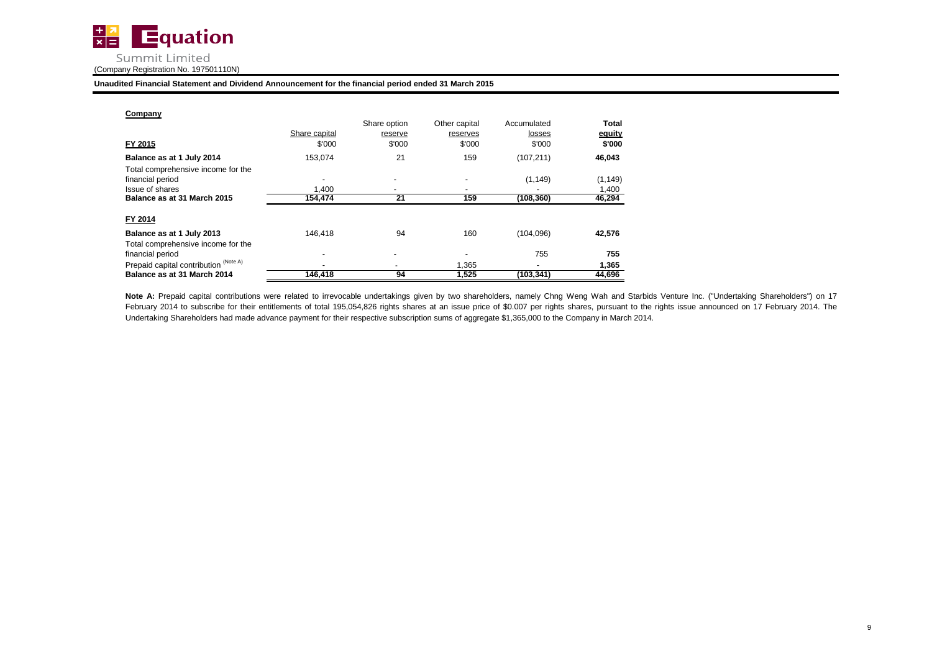

| Company                               |                         | Share option             | Other capital      | Accumulated      | Total            |
|---------------------------------------|-------------------------|--------------------------|--------------------|------------------|------------------|
| FY 2015                               | Share capital<br>\$'000 | reserve<br>\$'000        | reserves<br>\$'000 | losses<br>\$'000 | equity<br>\$'000 |
| Balance as at 1 July 2014             | 153.074                 | 21                       | 159                | (107, 211)       | 46,043           |
| Total comprehensive income for the    |                         |                          |                    |                  |                  |
| financial period                      |                         | $\overline{\phantom{0}}$ |                    | (1, 149)         | (1, 149)         |
| Issue of shares                       | 1.400                   |                          |                    |                  | 1,400            |
| Balance as at 31 March 2015           | 154,474                 | 21                       | 159                | (108, 360)       | 46,294           |
| FY 2014                               |                         |                          |                    |                  |                  |
| Balance as at 1 July 2013             | 146.418                 | 94                       | 160                | (104, 096)       | 42,576           |
| Total comprehensive income for the    |                         |                          |                    |                  |                  |
| financial period                      |                         |                          |                    | 755              | 755              |
| Prepaid capital contribution (Note A) |                         |                          | 1,365              |                  | 1,365            |
| Balance as at 31 March 2014           | 146,418                 | 94                       | 1,525              | (103, 341)       | 44,696           |

Note A: Prepaid capital contributions were related to irrevocable undertakings given by two shareholders, namely Chng Weng Wah and Starbids Venture Inc. ("Undertaking Shareholders") on 17 February 2014 to subscribe for their entitlements of total 195,054,826 rights shares at an issue price of \$0.007 per rights shares, pursuant to the rights issue announced on 17 February 2014. The Undertaking Shareholders had made advance payment for their respective subscription sums of aggregate \$1,365,000 to the Company in March 2014.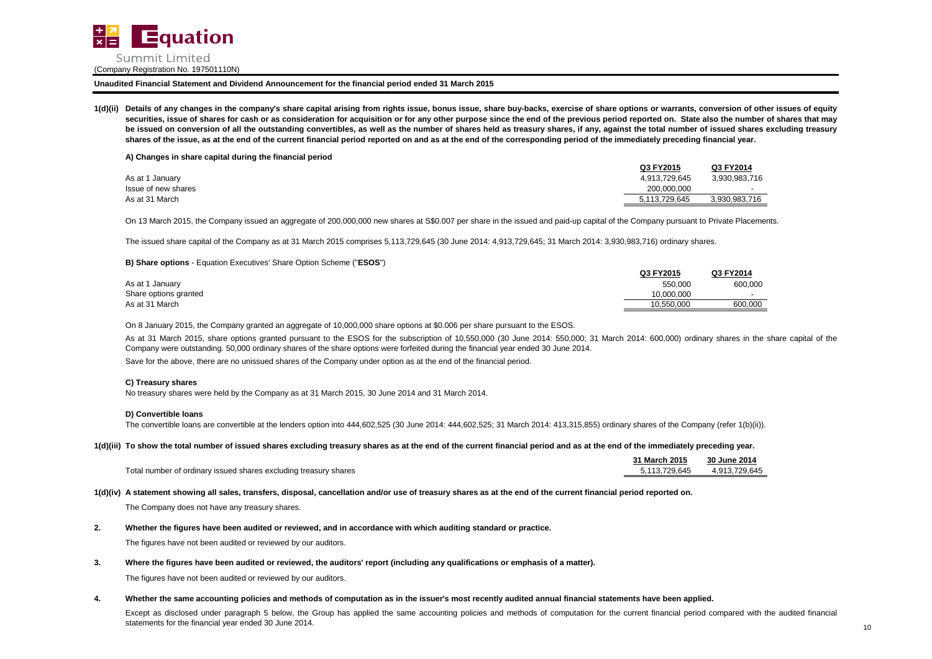

1(d)(ii) Details of any changes in the company's share capital arising from rights issue, bonus issue, share buy-backs, exercise of share options or warrants, conversion of other issues of equity securities, issue of shares for cash or as consideration for acquisition or for any other purpose since the end of the previous period reported on. State also the number of shares that may be issued on conversion of all the outstanding convertibles, as well as the number of shares held as treasury shares, if any, against the total number of issued shares excluding treasury **shares of the issue, as at the end of the current financial period reported on and as at the end of the corresponding period of the immediately preceding financial year.**

**A) Changes in share capital during the financial period**

|                     | Q3 FY2015     | Q3 FY2014     |
|---------------------|---------------|---------------|
| As at 1 January     | 4.913.729.645 | 3.930.983.716 |
| Issue of new shares | 200.000.000   |               |
| As at 31 March      | 5.113.729.645 | 3.930.983.716 |

On 13 March 2015, the Company issued an aggregate of 200,000,000 new shares at S\$0.007 per share in the issued and paid-up capital of the Company pursuant to Private Placements.

The issued share capital of the Company as at 31 March 2015 comprises 5,113,729,645 (30 June 2014: 4,913,729,645; 31 March 2014: 3,930,983,716) ordinary shares.

### **B) Share options** - Equation Executives' Share Option Scheme ("**ESOS**")

|                       | Q3 FY2015  | Q3 FY2014 |
|-----------------------|------------|-----------|
| As at 1 January       | 550.000    | 600,000   |
| Share options granted | 10.000.000 |           |
| As at 31 March        | 10.550.000 | 600.000   |

On 8 January 2015, the Company granted an aggregate of 10,000,000 share options at \$0.006 per share pursuant to the ESOS.

As at 31 March 2015, share options granted pursuant to the ESOS for the subscription of 10,550,000 (30 June 2014: 550,000; 31 March 2014: 600,000) ordinary shares in the share capital of the Company were outstanding. 50,000 ordinary shares of the share options were forfeited during the financial year ended 30 June 2014.

Save for the above, there are no unissued shares of the Company under option as at the end of the financial period.

## **C) Treasury shares**

No treasury shares were held by the Company as at 31 March 2015, 30 June 2014 and 31 March 2014.

### **D) Convertible loans**

The convertible loans are convertible at the lenders option into 444,602,525 (30 June 2014: 444,602,525; 31 March 2014: 413,315,855) ordinary shares of the Company (refer 1(b)(ii)).

### **1(d)(iii) To show the total number of issued shares excluding treasury shares as at the end of the current financial period and as at the end of the immediately preceding year.**

|                                                                  | 31 March 2015 | 30 June 2014  |
|------------------------------------------------------------------|---------------|---------------|
| Total number of ordinary issued shares excluding treasury shares | 5.113.729.645 | 4.913.729.645 |

### **1(d)(iv) A statement showing all sales, transfers, disposal, cancellation and/or use of treasury shares as at the end of the current financial period reported on.**

The Company does not have any treasury shares.

# **2. Whether the figures have been audited or reviewed, and in accordance with which auditing standard or practice.**

The figures have not been audited or reviewed by our auditors.

**3. Where the figures have been audited or reviewed, the auditors' report (including any qualifications or emphasis of a matter).**

The figures have not been audited or reviewed by our auditors.

#### **4.** Whether the same accounting policies and methods of computation as in the issuer's most recently audited annual financial statements have been applied.

Except as disclosed under paragraph 5 below, the Group has applied the same accounting policies and methods of computation for the current financial period compared with the audited financial statements for the financial year ended 30 June 2014.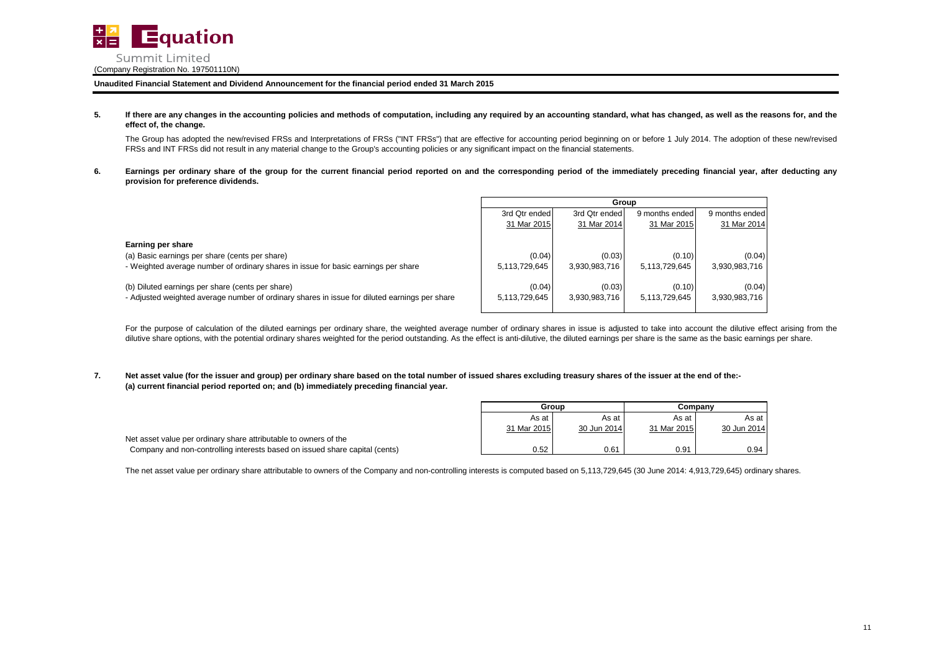

#### **5.** If there are any changes in the accounting policies and methods of computation, including any required by an accounting standard, what has changed, as well as the reasons for, and the **effect of, the change.**

The Group has adopted the new/revised FRSs and Interpretations of FRSs ("INT FRSs") that are effective for accounting period beginning on or before 1 July 2014. The adoption of these new/revised FRSs and INT FRSs did not result in any material change to the Group's accounting policies or any significant impact on the financial statements.

**6.** Earnings per ordinary share of the group for the current financial period reported on and the corresponding period of the immediately preceding financial year, after deducting any **provision for preference dividends.**

|                                                                                                                                                           | Group                   |                         |                         |                         |
|-----------------------------------------------------------------------------------------------------------------------------------------------------------|-------------------------|-------------------------|-------------------------|-------------------------|
|                                                                                                                                                           | 3rd Qtr ended           | 3rd Qtr ended           | 9 months ended          | 9 months ended          |
|                                                                                                                                                           | 31 Mar 2015             | 31 Mar 2014             | 31 Mar 2015             | 31 Mar 2014             |
| Earning per share<br>(a) Basic earnings per share (cents per share)<br>- Weighted average number of ordinary shares in issue for basic earnings per share | (0.04)<br>5,113,729,645 | (0.03)<br>3.930.983.716 | (0.10)<br>5.113.729.645 | (0.04)<br>3,930,983,716 |
| (b) Diluted earnings per share (cents per share)<br>- Adjusted weighted average number of ordinary shares in issue for diluted earnings per share         | (0.04)<br>5.113.729.645 | (0.03)<br>3.930.983.716 | (0.10)<br>5.113.729.645 | (0.04)<br>3,930,983,716 |

For the purpose of calculation of the diluted earnings per ordinary share, the weighted average number of ordinary shares in issue is adjusted to take into account the dilutive effect arising from the dilutive share options, with the potential ordinary shares weighted for the period outstanding. As the effect is anti-dilutive, the diluted earnings per share is the same as the basic earnings per share.

**7. (a) current financial period reported on; and (b) immediately preceding financial year. Net asset value (for the issuer and group) per ordinary share based on the total number of issued shares excluding treasury shares of the issuer at the end of the:-**

|                                                                             | Group       |             | Companv     |             |
|-----------------------------------------------------------------------------|-------------|-------------|-------------|-------------|
|                                                                             | As at       | As at       | As at       | As at       |
|                                                                             | 31 Mar 2015 | 30 Jun 2014 | 31 Mar 2015 | 30 Jun 2014 |
| Net asset value per ordinary share attributable to owners of the            |             |             |             |             |
| Company and non-controlling interests based on issued share capital (cents) | 0.52        | 0.61        | 0.91        | 0.94        |

The net asset value per ordinary share attributable to owners of the Company and non-controlling interests is computed based on 5,113,729,645 (30 June 2014: 4,913,729,645) ordinary shares.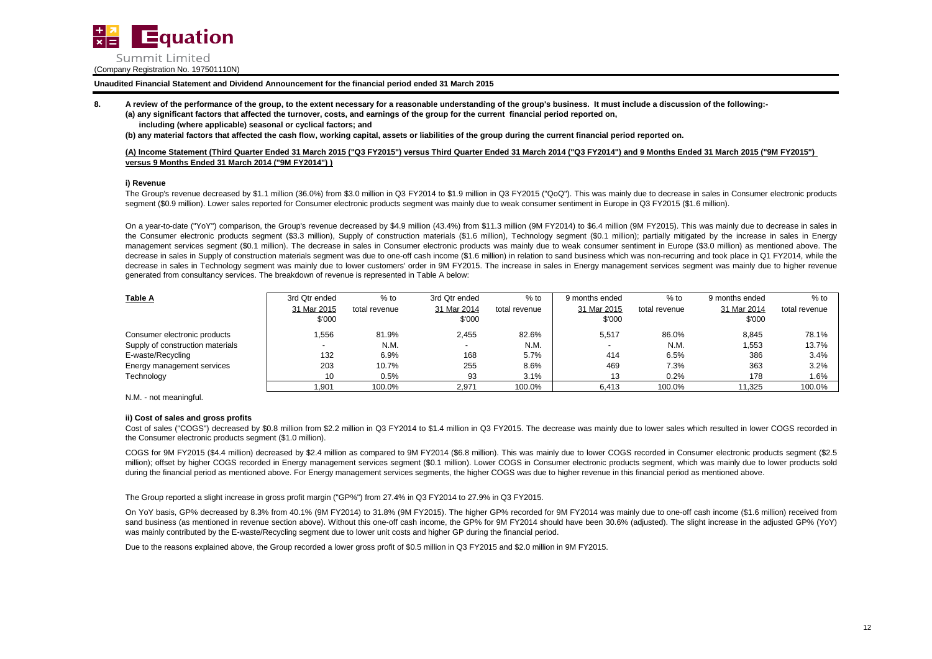

**8. A review of the performance of the group, to the extent necessary for a reasonable understanding of the group's business. It must include a discussion of the following:-**

**(a) any significant factors that affected the turnover, costs, and earnings of the group for the current financial period reported on,**

 **including (where applicable) seasonal or cyclical factors; and**

**(b) any material factors that affected the cash flow, working capital, assets or liabilities of the group during the current financial period reported on.**

**(A) Income Statement (Third Quarter Ended 31 March 2015 ("Q3 FY2015") versus Third Quarter Ended 31 March 2014 ("Q3 FY2014") and 9 Months Ended 31 March 2015 ("9M FY2015") versus 9 Months Ended 31 March 2014 ("9M FY2014") )**

# **i) Revenue**

The Group's revenue decreased by \$1.1 million (36.0%) from \$3.0 million in Q3 FY2014 to \$1.9 million in Q3 FY2015 ("QoQ"). This was mainly due to decrease in sales in Consumer electronic products segment (\$0.9 million). Lower sales reported for Consumer electronic products segment was mainly due to weak consumer sentiment in Europe in Q3 FY2015 (\$1.6 million).

On a year-to-date ("YoY") comparison, the Group's revenue decreased by \$4.9 million (43.4%) from \$11.3 million (9M FY2014) to \$6.4 million (9M FY2015). This was mainly due to decrease in sales in the Consumer electronic products segment (\$3.3 million), Supply of construction materials (\$1.6 million), Technology segment (\$0.1 million); partially mitigated by the increase in sales in Energy management services segment (\$0.1 million). The decrease in sales in Consumer electronic products was mainly due to weak consumer sentiment in Europe (\$3.0 million) as mentioned above. The decrease in sales in Supply of construction materials segment was due to one-off cash income (\$1.6 million) in relation to sand business which was non-recurring and took place in Q1 FY2014, while the decrease in sales in Technology segment was mainly due to lower customers' order in 9M FY2015. The increase in sales in Energy management services segment was mainly due to higher revenue generated from consultancy services. The breakdown of revenue is represented in Table A below:

| <b>Table A</b>                   | 3rd Qtr ended | $%$ to        | 3rd Qtr ended | $%$ to        | 9 months ended | $%$ to        | 9 months ended | $%$ to        |
|----------------------------------|---------------|---------------|---------------|---------------|----------------|---------------|----------------|---------------|
|                                  | 31 Mar 2015   | total revenue | 31 Mar 2014   | total revenue | 31 Mar 2015    | total revenue | 31 Mar 2014    | total revenue |
|                                  | \$'000        |               | \$'000        |               | \$'000         |               | \$'000         |               |
| Consumer electronic products     | .556          | 81.9%         | 2,455         | 82.6%         | 5.517          | 86.0%         | 8,845          | 78.1%         |
| Supply of construction materials |               | N.M.          | $\sim$        | N.M.          |                | N.M.          | 1,553          | 13.7%         |
| E-waste/Recycling                | 132           | 6.9%          | 168           | 5.7%          | 414            | 6.5%          | 386            | 3.4%          |
| Energy management services       | 203           | 10.7%         | 255           | 8.6%          | 469            | 7.3%          | 363            | 3.2%          |
| Technology                       | 10            | 0.5%          | 93            | 3.1%          | 13             | 0.2%          | 178            | 1.6%          |
|                                  | 1.901         | 100.0%        | 2,971         | 100.0%        | 6.413          | 100.0%        | 11,325         | 100.0%        |

N.M. - not meaningful.

# **ii) Cost of sales and gross profits**

Cost of sales ("COGS") decreased by \$0.8 million from \$2.2 million in Q3 FY2014 to \$1.4 million in Q3 FY2015. The decrease was mainly due to lower sales which resulted in lower COGS recorded in the Consumer electronic products segment (\$1.0 million).

COGS for 9M FY2015 (\$4.4 million) decreased by \$2.4 million as compared to 9M FY2014 (\$6.8 million). This was mainly due to lower COGS recorded in Consumer electronic products segment (\$2.5 million); offset by higher COGS recorded in Energy management services segment (\$0.1 million). Lower COGS in Consumer electronic products segment, which was mainly due to lower products sold during the financial period as mentioned above. For Energy management services segments, the higher COGS was due to higher revenue in this financial period as mentioned above.

The Group reported a slight increase in gross profit margin ("GP%") from 27.4% in Q3 FY2014 to 27.9% in Q3 FY2015.

On YoY basis, GP% decreased by 8.3% from 40.1% (9M FY2014) to 31.8% (9M FY2015). The higher GP% recorded for 9M FY2014 was mainly due to one-off cash income (\$1.6 million) received from sand business (as mentioned in revenue section above). Without this one-off cash income, the GP% for 9M FY2014 should have been 30.6% (adjusted). The slight increase in the adjusted GP% (YoY) was mainly contributed by the E-waste/Recycling segment due to lower unit costs and higher GP during the financial period.

Due to the reasons explained above, the Group recorded a lower gross profit of \$0.5 million in Q3 FY2015 and \$2.0 million in 9M FY2015.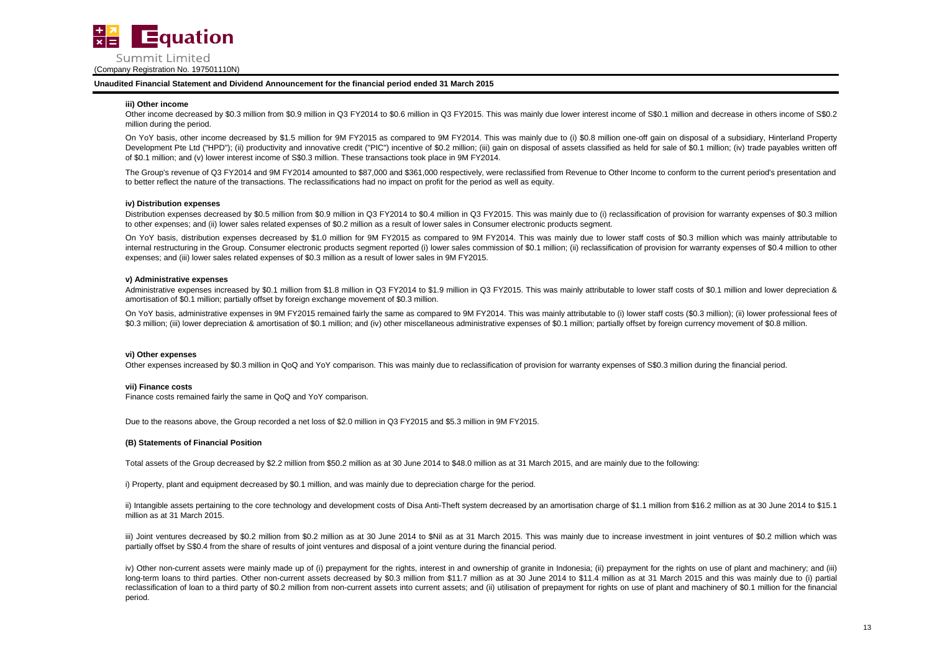

### **iii) Other income**

Other income decreased by \$0.3 million from \$0.9 million in Q3 FY2014 to \$0.6 million in Q3 FY2015. This was mainly due lower interest income of S\$0.1 million and decrease in others income of S\$0.2 million during the period.

On YoY basis, other income decreased by \$1.5 million for 9M FY2015 as compared to 9M FY2014. This was mainly due to (i) \$0.8 million one-off gain on disposal of a subsidiary, Hinterland Property Development Pte Ltd ("HPD"); (ii) productivity and innovative credit ("PIC") incentive of \$0.2 million; (iii) gain on disposal of assets classified as held for sale of \$0.1 million; (iv) trade payables written off of \$0.1 million; and (v) lower interest income of S\$0.3 million. These transactions took place in 9M FY2014.

The Group's revenue of Q3 FY2014 and 9M FY2014 amounted to \$87,000 and \$361,000 respectively, were reclassified from Revenue to Other Income to conform to the current period's presentation and to better reflect the nature of the transactions. The reclassifications had no impact on profit for the period as well as equity.

### **iv) Distribution expenses**

Distribution expenses decreased by \$0.5 million from \$0.9 million in Q3 FY2014 to \$0.4 million in Q3 FY2015. This was mainly due to (i) reclassification of provision for warranty expenses of \$0.3 million to other expenses; and (ii) lower sales related expenses of \$0.2 million as a result of lower sales in Consumer electronic products segment.

On YoY basis, distribution expenses decreased by \$1.0 million for 9M FY2015 as compared to 9M FY2014. This was mainly due to lower staff costs of \$0.3 million which was mainly attributable to internal restructuring in the Group. Consumer electronic products segment reported (i) lower sales commission of \$0.1 million; (ii) reclassification of provision for warranty expenses of \$0.4 million to other expenses; and (iii) lower sales related expenses of \$0.3 million as a result of lower sales in 9M FY2015.

### **v) Administrative expenses**

Administrative expenses increased by \$0.1 million from \$1.8 million in Q3 FY2014 to \$1.9 million in Q3 FY2015. This was mainly attributable to lower staff costs of \$0.1 million and lower depreciation & amortisation of \$0.1 million; partially offset by foreign exchange movement of \$0.3 million.

On YoY basis, administrative expenses in 9M FY2015 remained fairly the same as compared to 9M FY2014. This was mainly attributable to (i) lower staff costs (\$0.3 million); (ii) lower professional fees of \$0.3 million; (iii) lower depreciation & amortisation of \$0.1 million; and (iv) other miscellaneous administrative expenses of \$0.1 million; partially offset by foreign currency movement of \$0.8 million.

### **vi) Other expenses**

Other expenses increased by \$0.3 million in QoQ and YoY comparison. This was mainly due to reclassification of provision for warranty expenses of S\$0.3 million during the financial period.

### **vii) Finance costs**

Finance costs remained fairly the same in QoQ and YoY comparison.

Due to the reasons above, the Group recorded a net loss of \$2.0 million in Q3 FY2015 and \$5.3 million in 9M FY2015.

# **(B) Statements of Financial Position**

Total assets of the Group decreased by \$2.2 million from \$50.2 million as at 30 June 2014 to \$48.0 million as at 31 March 2015, and are mainly due to the following:

i) Property, plant and equipment decreased by \$0.1 million, and was mainly due to depreciation charge for the period.

ii) Intangible assets pertaining to the core technology and development costs of Disa Anti-Theft system decreased by an amortisation charge of \$1.1 million from \$16.2 million as at 30 June 2014 to \$15.1 million as at 31 March 2015.

iii) Joint ventures decreased by \$0.2 million from \$0.2 million as at 30 June 2014 to \$Nil as at 31 March 2015. This was mainly due to increase investment in joint ventures of \$0.2 million which was partially offset by S\$0.4 from the share of results of joint ventures and disposal of a joint venture during the financial period.

iv) Other non-current assets were mainly made up of (i) prepayment for the rights, interest in and ownership of granite in Indonesia; (ii) prepayment for the rights on use of plant and machinery; and (iii) long-term loans to third parties. Other non-current assets decreased by \$0.3 million from \$11.7 million as at 30 June 2014 to \$11.4 million as at 31 March 2015 and this was mainly due to (i) partial reclassification of loan to a third party of \$0.2 million from non-current assets into current assets; and (ii) utilisation of prepayment for rights on use of plant and machinery of \$0.1 million for the financial period.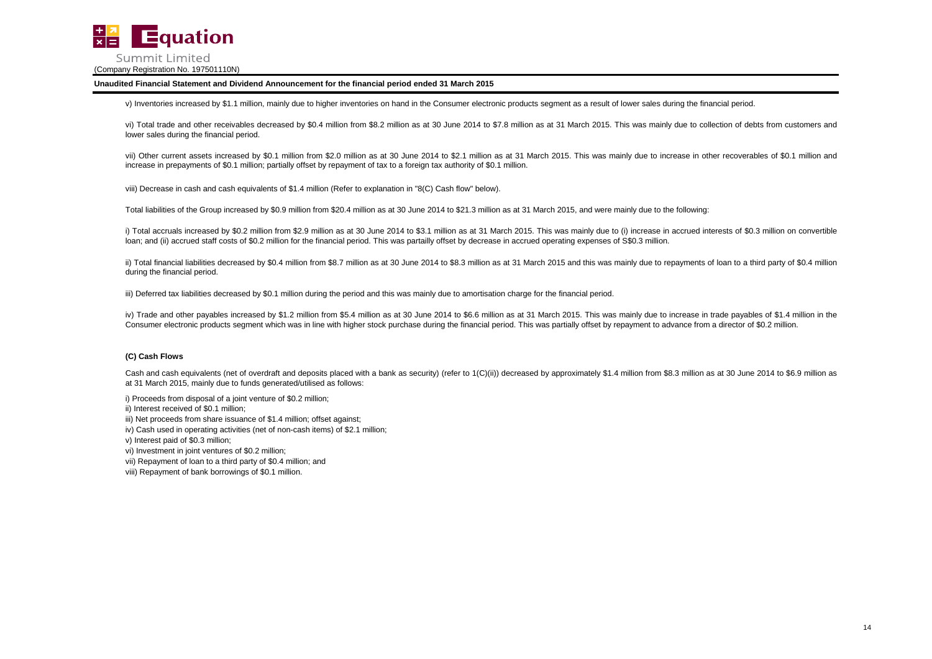

v) Inventories increased by \$1.1 million, mainly due to higher inventories on hand in the Consumer electronic products segment as a result of lower sales during the financial period.

vi) Total trade and other receivables decreased by \$0.4 million from \$8.2 million as at 30 June 2014 to \$7.8 million as at 31 March 2015. This was mainly due to collection of debts from customers and lower sales during the financial period.

vii) Other current assets increased by \$0.1 million from \$2.0 million as at 30 June 2014 to \$2.1 million as at 31 March 2015. This was mainly due to increase in other recoverables of \$0.1 million and increase in prepayments of \$0.1 million; partially offset by repayment of tax to a foreign tax authority of \$0.1 million.

viii) Decrease in cash and cash equivalents of \$1.4 million (Refer to explanation in "8(C) Cash flow" below).

Total liabilities of the Group increased by \$0.9 million from \$20.4 million as at 30 June 2014 to \$21.3 million as at 31 March 2015, and were mainly due to the following:

i) Total accruals increased by \$0.2 million from \$2.9 million as at 30 June 2014 to \$3.1 million as at 31 March 2015. This was mainly due to (i) increase in accrued interests of \$0.3 million on convertible loan; and (ii) accrued staff costs of \$0.2 million for the financial period. This was partailly offset by decrease in accrued operating expenses of S\$0.3 million.

ii) Total financial liabilities decreased by \$0.4 million from \$8.7 million as at 30 June 2014 to \$8.3 million as at 31 March 2015 and this was mainly due to repayments of loan to a third party of \$0.4 million during the financial period.

iii) Deferred tax liabilities decreased by \$0.1 million during the period and this was mainly due to amortisation charge for the financial period.

iv) Trade and other payables increased by \$1.2 million from \$5.4 million as at 30 June 2014 to \$6.6 million as at 31 March 2015. This was mainly due to increase in trade payables of \$1.4 million in the Consumer electronic products segment which was in line with higher stock purchase during the financial period. This was partially offset by repayment to advance from a director of \$0.2 million.

# **(C) Cash Flows**

Cash and cash equivalents (net of overdraft and deposits placed with a bank as security) (refer to 1(C)(ii)) decreased by approximately \$1.4 million from \$8.3 million as at 30 June 2014 to \$6.9 million as at 31 March 2015, mainly due to funds generated/utilised as follows:

i) Proceeds from disposal of a joint venture of \$0.2 million;

ii) Interest received of \$0.1 million;

iii) Net proceeds from share issuance of \$1.4 million; offset against;

iv) Cash used in operating activities (net of non-cash items) of \$2.1 million;

v) Interest paid of \$0.3 million;

vi) Investment in joint ventures of \$0.2 million;

vii) Repayment of loan to a third party of \$0.4 million; and

viii) Repayment of bank borrowings of \$0.1 million.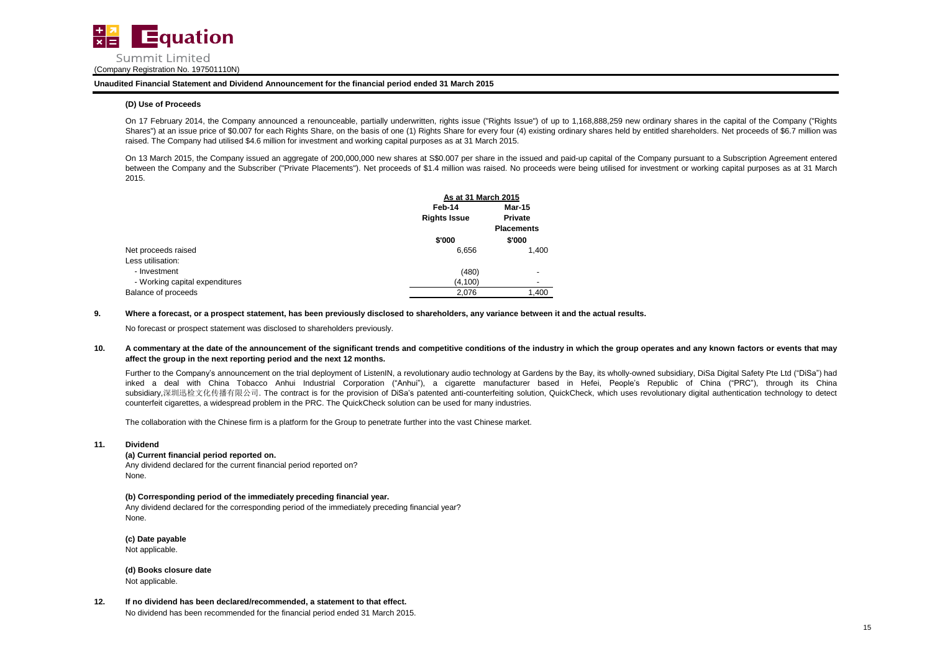

## **(D) Use of Proceeds**

On 17 February 2014, the Company announced a renounceable, partially underwritten, rights issue ("Rights Issue") of up to 1,168,888,259 new ordinary shares in the capital of the Company ("Rights Shares") at an issue price of \$0.007 for each Rights Share, on the basis of one (1) Rights Share for every four (4) existing ordinary shares held by entitled shareholders. Net proceeds of \$6.7 million was raised. The Company had utilised \$4.6 million for investment and working capital purposes as at 31 March 2015.

On 13 March 2015, the Company issued an aggregate of 200,000,000 new shares at S\$0.007 per share in the issued and paid-up capital of the Company pursuant to a Subscription Agreement entered between the Company and the Subscriber ("Private Placements"). Net proceeds of \$1.4 million was raised. No proceeds were being utilised for investment or working capital purposes as at 31 March 2015.

|                                |                     | As at 31 March 2015 |  |  |
|--------------------------------|---------------------|---------------------|--|--|
|                                | Feb-14              | <b>Mar-15</b>       |  |  |
|                                | <b>Rights Issue</b> | Private             |  |  |
|                                |                     | <b>Placements</b>   |  |  |
|                                | \$'000              | \$'000              |  |  |
| Net proceeds raised            | 6,656               | 1.400               |  |  |
| Less utilisation:              |                     |                     |  |  |
| - Investment                   | (480)               |                     |  |  |
| - Working capital expenditures | (4, 100)            |                     |  |  |
| Balance of proceeds            | 2,076               | 1,400               |  |  |

### **9. Where a forecast, or a prospect statement, has been previously disclosed to shareholders, any variance between it and the actual results.**

No forecast or prospect statement was disclosed to shareholders previously.

#### **10.** A commentary at the date of the announcement of the significant trends and competitive conditions of the industry in which the group operates and any known factors or events that may **affect the group in the next reporting period and the next 12 months.**

Further to the Company's announcement on the trial deployment of ListenIN, a revolutionary audio technology at Gardens by the Bay, its wholly-owned subsidiary, DiSa Digital Safety Pte Ltd ("DiSa") had inked a deal with China Tobacco Anhui Industrial Corporation ("Anhui"), a cigarette manufacturer based in Hefei, People's Republic of China ("PRC"), through its China subsidiary,深圳迅检文化传播有限公司. The contract is for the provision of DiSa's patented anti-counterfeiting solution, QuickCheck, which uses revolutionary digital authentication technology to detect counterfeit cigarettes, a widespread problem in the PRC. The QuickCheck solution can be used for many industries.

The collaboration with the Chinese firm is a platform for the Group to penetrate further into the vast Chinese market.

## **11. Dividend**

# **(a) Current financial period reported on.**

Any dividend declared for the current financial period reported on? None.

# **(b) Corresponding period of the immediately preceding financial year.**

Any dividend declared for the corresponding period of the immediately preceding financial year? None.

**(c) Date payable** Not applicable.

**(d) Books closure date** Not applicable.

**12. If no dividend has been declared/recommended, a statement to that effect.** No dividend has been recommended for the financial period ended 31 March 2015.